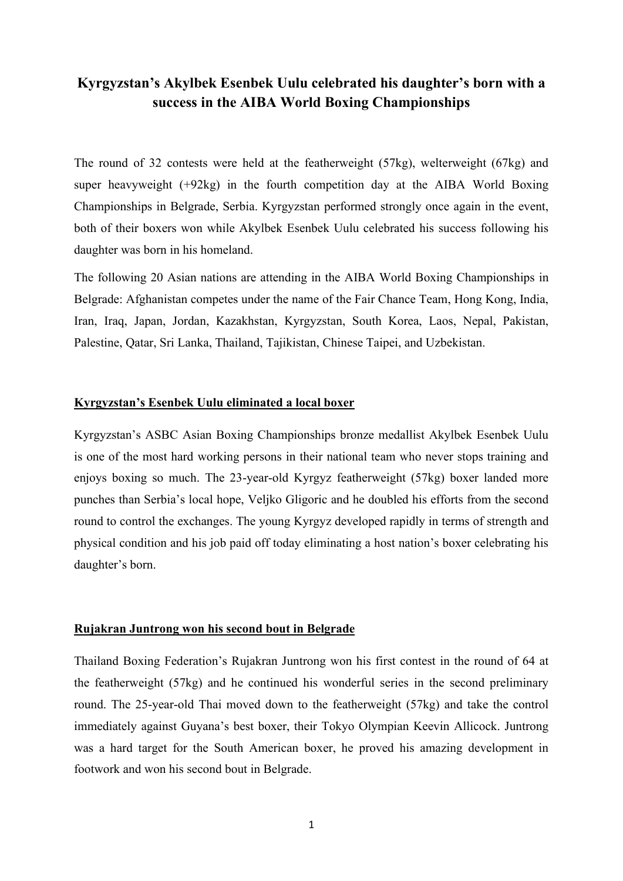# **Kyrgyzstan's Akylbek Esenbek Uulu celebrated his daughter's born with a success in the AIBA World Boxing Championships**

The round of 32 contests were held at the featherweight (57kg), welterweight (67kg) and super heavyweight (+92kg) in the fourth competition day at the AIBA World Boxing Championships in Belgrade, Serbia. Kyrgyzstan performed strongly once again in the event, both of their boxers won while Akylbek Esenbek Uulu celebrated his success following his daughter was born in his homeland.

The following 20 Asian nations are attending in the AIBA World Boxing Championships in Belgrade: Afghanistan competes under the name of the Fair Chance Team, Hong Kong, India, Iran, Iraq, Japan, Jordan, Kazakhstan, Kyrgyzstan, South Korea, Laos, Nepal, Pakistan, Palestine, Qatar, Sri Lanka, Thailand, Tajikistan, Chinese Taipei, and Uzbekistan.

#### **Kyrgyzstan's Esenbek Uulu eliminated a local boxer**

Kyrgyzstan's ASBC Asian Boxing Championships bronze medallist Akylbek Esenbek Uulu is one of the most hard working persons in their national team who never stops training and enjoys boxing so much. The 23-year-old Kyrgyz featherweight (57kg) boxer landed more punches than Serbia's local hope, Veljko Gligoric and he doubled his efforts from the second round to control the exchanges. The young Kyrgyz developed rapidly in terms of strength and physical condition and his job paid off today eliminating a host nation's boxer celebrating his daughter's born.

### **Rujakran Juntrong won his second bout in Belgrade**

Thailand Boxing Federation's Rujakran Juntrong won his first contest in the round of 64 at the featherweight (57kg) and he continued his wonderful series in the second preliminary round. The 25-year-old Thai moved down to the featherweight (57kg) and take the control immediately against Guyana's best boxer, their Tokyo Olympian Keevin Allicock. Juntrong was a hard target for the South American boxer, he proved his amazing development in footwork and won his second bout in Belgrade.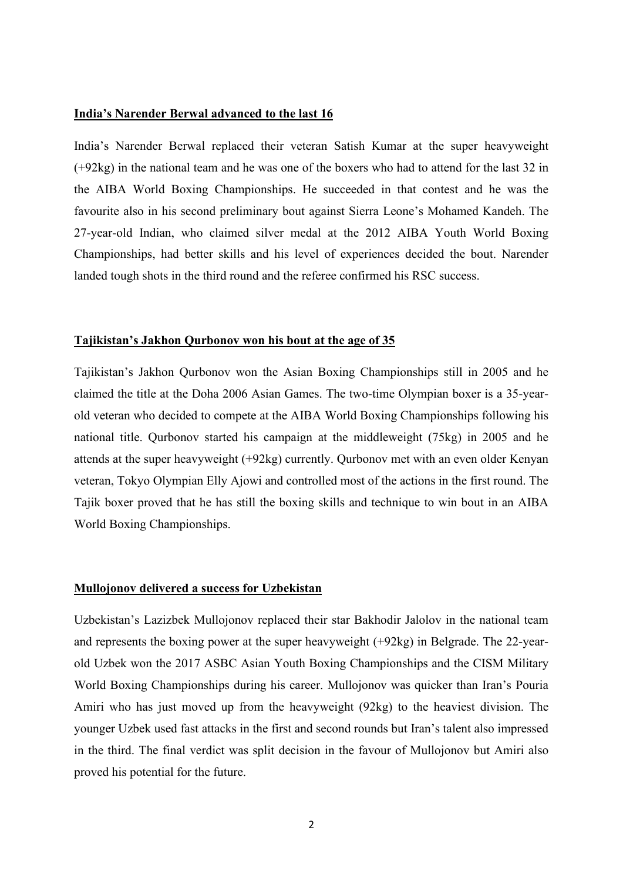## **India's Narender Berwal advanced to the last 16**

India's Narender Berwal replaced their veteran Satish Kumar at the super heavyweight (+92kg) in the national team and he was one of the boxers who had to attend for the last 32 in the AIBA World Boxing Championships. He succeeded in that contest and he was the favourite also in his second preliminary bout against Sierra Leone's Mohamed Kandeh. The 27-year-old Indian, who claimed silver medal at the 2012 AIBA Youth World Boxing Championships, had better skills and his level of experiences decided the bout. Narender landed tough shots in the third round and the referee confirmed his RSC success.

#### **Tajikistan's Jakhon Qurbonov won his bout at the age of 35**

Tajikistan's Jakhon Qurbonov won the Asian Boxing Championships still in 2005 and he claimed the title at the Doha 2006 Asian Games. The two-time Olympian boxer is a 35-yearold veteran who decided to compete at the AIBA World Boxing Championships following his national title. Qurbonov started his campaign at the middleweight (75kg) in 2005 and he attends at the super heavyweight (+92kg) currently. Qurbonov met with an even older Kenyan veteran, Tokyo Olympian Elly Ajowi and controlled most of the actions in the first round. The Tajik boxer proved that he has still the boxing skills and technique to win bout in an AIBA World Boxing Championships.

#### **Mullojonov delivered a success for Uzbekistan**

Uzbekistan's Lazizbek Mullojonov replaced their star Bakhodir Jalolov in the national team and represents the boxing power at the super heavyweight (+92kg) in Belgrade. The 22-yearold Uzbek won the 2017 ASBC Asian Youth Boxing Championships and the CISM Military World Boxing Championships during his career. Mullojonov was quicker than Iran's Pouria Amiri who has just moved up from the heavyweight (92kg) to the heaviest division. The younger Uzbek used fast attacks in the first and second rounds but Iran's talent also impressed in the third. The final verdict was split decision in the favour of Mullojonov but Amiri also proved his potential for the future.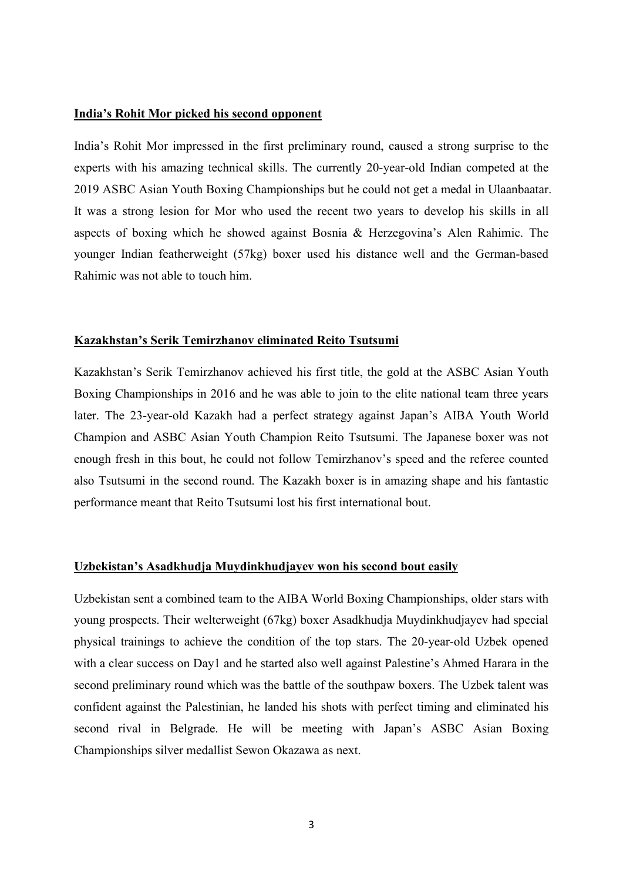## **India's Rohit Mor picked his second opponent**

India's Rohit Mor impressed in the first preliminary round, caused a strong surprise to the experts with his amazing technical skills. The currently 20-year-old Indian competed at the 2019 ASBC Asian Youth Boxing Championships but he could not get a medal in Ulaanbaatar. It was a strong lesion for Mor who used the recent two years to develop his skills in all aspects of boxing which he showed against Bosnia & Herzegovina's Alen Rahimic. The younger Indian featherweight (57kg) boxer used his distance well and the German-based Rahimic was not able to touch him.

#### **Kazakhstan's Serik Temirzhanov eliminated Reito Tsutsumi**

Kazakhstan's Serik Temirzhanov achieved his first title, the gold at the ASBC Asian Youth Boxing Championships in 2016 and he was able to join to the elite national team three years later. The 23-year-old Kazakh had a perfect strategy against Japan's AIBA Youth World Champion and ASBC Asian Youth Champion Reito Tsutsumi. The Japanese boxer was not enough fresh in this bout, he could not follow Temirzhanov's speed and the referee counted also Tsutsumi in the second round. The Kazakh boxer is in amazing shape and his fantastic performance meant that Reito Tsutsumi lost his first international bout.

## **Uzbekistan's Asadkhudja Muydinkhudjayev won his second bout easily**

Uzbekistan sent a combined team to the AIBA World Boxing Championships, older stars with young prospects. Their welterweight (67kg) boxer Asadkhudja Muydinkhudjayev had special physical trainings to achieve the condition of the top stars. The 20-year-old Uzbek opened with a clear success on Day1 and he started also well against Palestine's Ahmed Harara in the second preliminary round which was the battle of the southpaw boxers. The Uzbek talent was confident against the Palestinian, he landed his shots with perfect timing and eliminated his second rival in Belgrade. He will be meeting with Japan's ASBC Asian Boxing Championships silver medallist Sewon Okazawa as next.